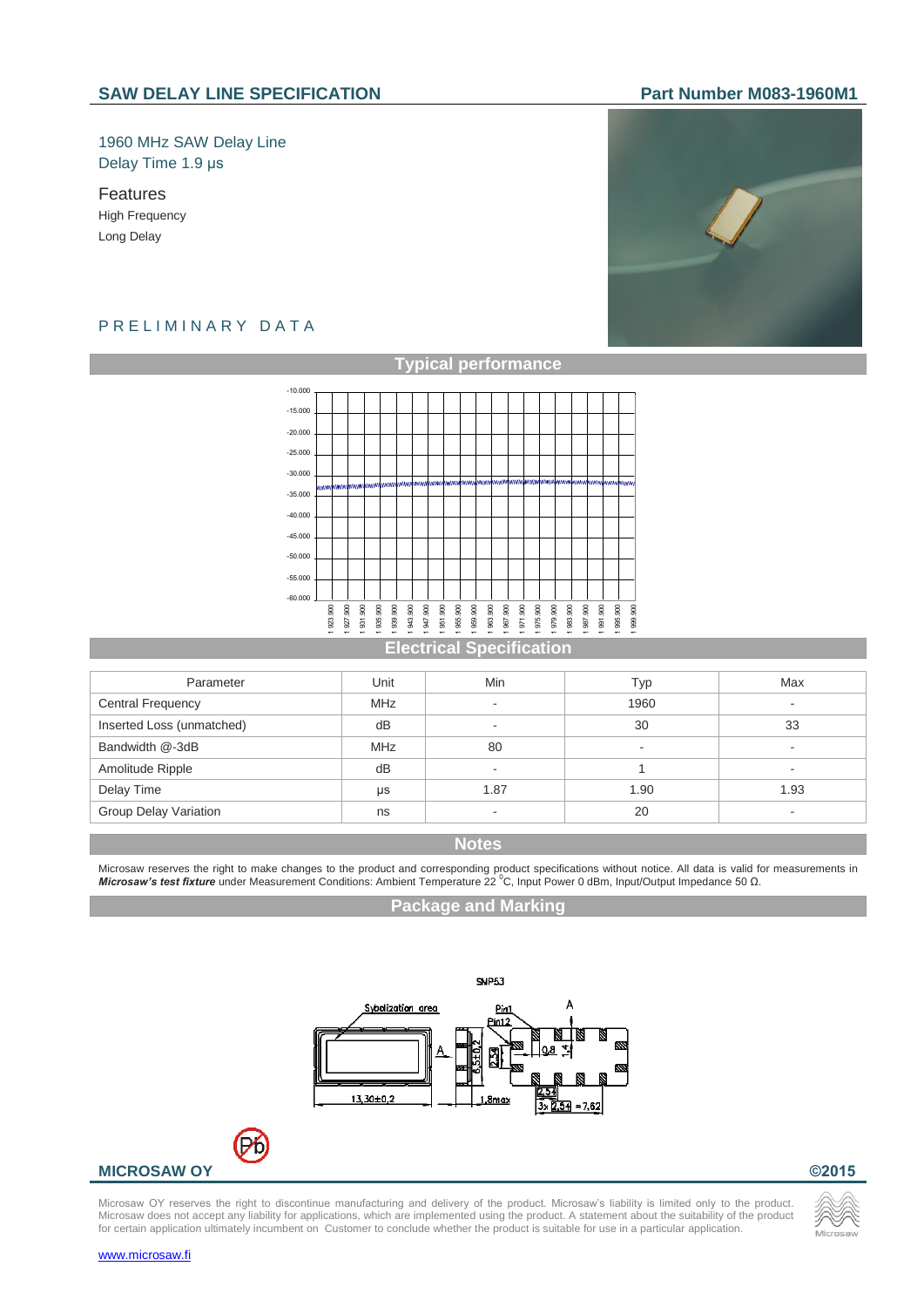## 1960 MHz SAW Delay Line Delay Time 1.9 µs

Features High Frequency Long Delay

# PRELIMINARY DATA



#### **Typical performance**



#### **Electrical Specification**

| Parameter                    | Unit       | Min                      | Typ                      | Max  |
|------------------------------|------------|--------------------------|--------------------------|------|
| <b>Central Frequency</b>     | <b>MHz</b> | $\overline{\phantom{a}}$ | 1960                     |      |
| Inserted Loss (unmatched)    | dB         |                          | 30                       | 33   |
| Bandwidth @-3dB              | <b>MHz</b> | 80                       | $\overline{\phantom{a}}$ |      |
| Amolitude Ripple             | dB         |                          |                          | -    |
| Delay Time                   | μs         | 1.87                     | 1.90                     | 1.93 |
| <b>Group Delay Variation</b> | ns         | $\overline{\phantom{a}}$ | 20                       |      |

## **Notes**

Microsaw reserves the right to make changes to the product and corresponding product specifications without notice. All data is valid for measurements in<br>**Microsaw's test fixture** under Measurement Conditions: Ambient Tem

#### **Package and Marking**



## **MICROSAW OY ©2015**

Microsaw OY reserves the right to discontinue manufacturing and delivery of the product. Microsaw's liability is limited only to the product. Microsaw does not accept any liability for applications, which are implemented using the product. A statement about the suitability of the product for certain application ultimately incumbent on Customer to conclude whether the product is suitable for use in a particular application.